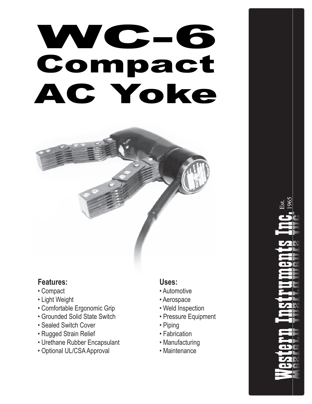# Compact AC Yoke WC-6



## **Features:**

- Compact
- Light Weight
- Comfortable Ergonomic Grip
- Grounded Solid State Switch
- Sealed Switch Cover
- Rugged Strain Relief
- Urethane Rubber Encapsulant
- Optional UL/CSA Approval

### **Uses:**

- Automotive
- Aerospace
- Weld Inspection
- Pressure Equipment
- Piping
- Fabrication
- Manufacturing
- Maintenance